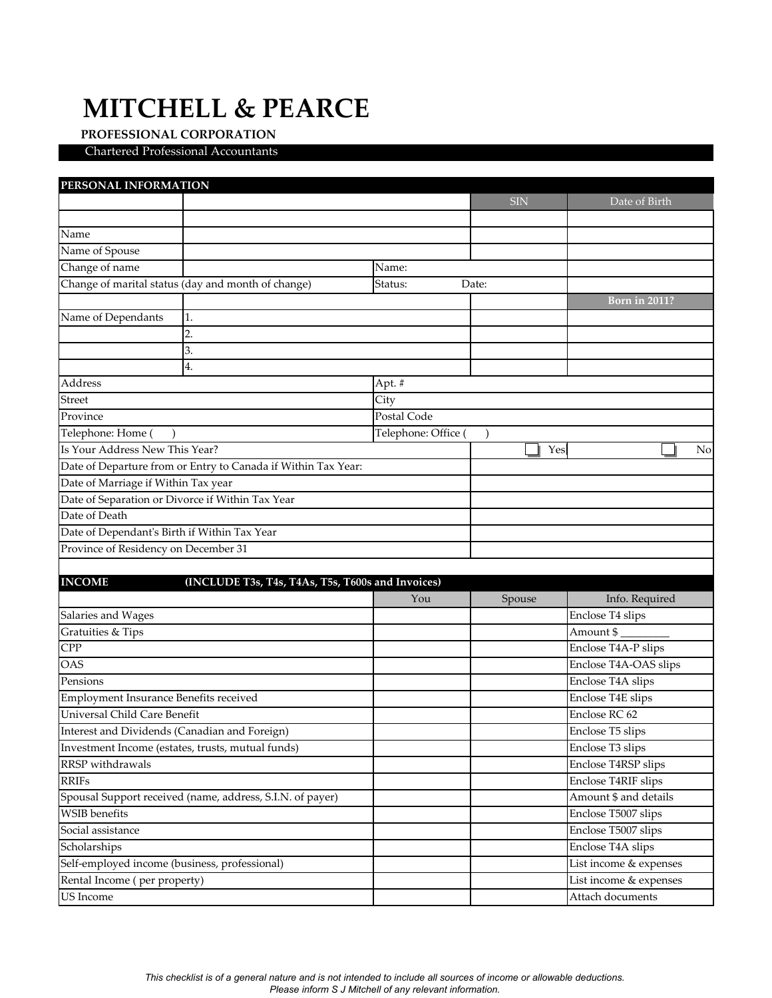## **MITCHELL & PEARCE**

## **PROFESSIONAL CORPORATION**

Chartered Professional Accountants

| PERSONAL INFORMATION                                               |                     |            |                        |
|--------------------------------------------------------------------|---------------------|------------|------------------------|
|                                                                    |                     | <b>SIN</b> | Date of Birth          |
|                                                                    |                     |            |                        |
| Name                                                               |                     |            |                        |
| Name of Spouse                                                     |                     |            |                        |
| Change of name                                                     | Name:               |            |                        |
| Change of marital status (day and month of change)<br>Status:      |                     | Date:      |                        |
|                                                                    |                     |            | <b>Born in 2011?</b>   |
| Name of Dependants<br>1.                                           |                     |            |                        |
| 2.                                                                 |                     |            |                        |
| 3.                                                                 |                     |            |                        |
| 4.                                                                 |                     |            |                        |
| Address                                                            | Apt. #              |            |                        |
| Street                                                             | City                |            |                        |
| Province                                                           | Postal Code         |            |                        |
| Telephone: Home                                                    | Telephone: Office ( |            |                        |
| Is Your Address New This Year?                                     |                     | Yes        | No                     |
| Date of Departure from or Entry to Canada if Within Tax Year:      |                     |            |                        |
| Date of Marriage if Within Tax year                                |                     |            |                        |
| Date of Separation or Divorce if Within Tax Year                   |                     |            |                        |
| Date of Death                                                      |                     |            |                        |
| Date of Dependant's Birth if Within Tax Year                       |                     |            |                        |
| Province of Residency on December 31                               |                     |            |                        |
|                                                                    |                     |            |                        |
|                                                                    |                     |            |                        |
| <b>INCOME</b><br>(INCLUDE T3s, T4s, T4As, T5s, T600s and Invoices) |                     |            |                        |
|                                                                    | You                 | Spouse     | Info. Required         |
| Salaries and Wages                                                 |                     |            | Enclose T4 slips       |
| Gratuities & Tips                                                  |                     |            | Amount \$              |
| <b>CPP</b>                                                         |                     |            | Enclose T4A-P slips    |
| <b>OAS</b>                                                         |                     |            | Enclose T4A-OAS slips  |
| Pensions                                                           |                     |            | Enclose T4A slips      |
| Employment Insurance Benefits received                             |                     |            | Enclose T4E slips      |
| <b>Universal Child Care Benefit</b>                                |                     |            | Enclose RC 62          |
| Interest and Dividends (Canadian and Foreign)                      |                     |            | Enclose T5 slips       |
| Investment Income (estates, trusts, mutual funds)                  |                     |            | Enclose T3 slips       |
| RRSP withdrawals                                                   |                     |            | Enclose T4RSP slips    |
| <b>RRIFs</b>                                                       |                     |            | Enclose T4RIF slips    |
| Spousal Support received (name, address, S.I.N. of payer)          |                     |            | Amount \$ and details  |
| <b>WSIB</b> benefits                                               |                     |            | Enclose T5007 slips    |
| Social assistance                                                  |                     |            | Enclose T5007 slips    |
| Scholarships                                                       |                     |            | Enclose T4A slips      |
| Self-employed income (business, professional)                      |                     |            | List income & expenses |
| Rental Income (per property)                                       |                     |            | List income & expenses |